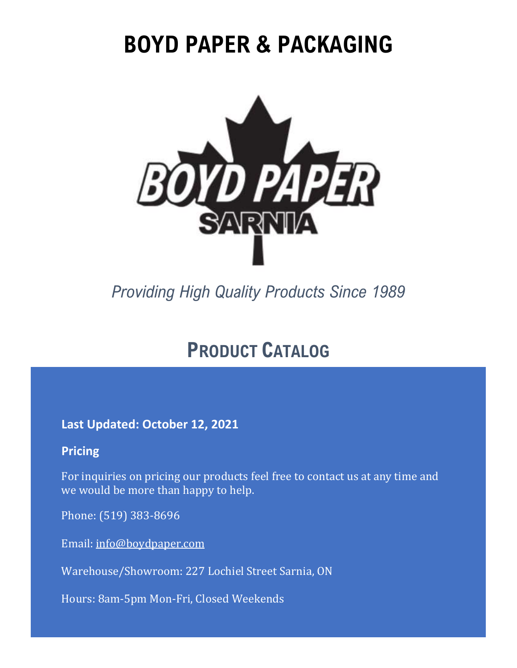# **BOYD PAPER & PACKAGING**



*Providing High Quality Products Since 1989*

## **PRODUCT CATALOG**

**Last Updated: October 12, 2021**

#### **Pricing**

For inquiries on pricing our products feel free to contact us at any time and we would be more than happy to help.

Phone: (519) 383-8696

Email: [info@boydpaper.com](mailto:info@boydpaper.com)

Warehouse/Showroom: 227 Lochiel Street Sarnia, ON

Hours: 8am-5pm Mon-Fri, Closed Weekends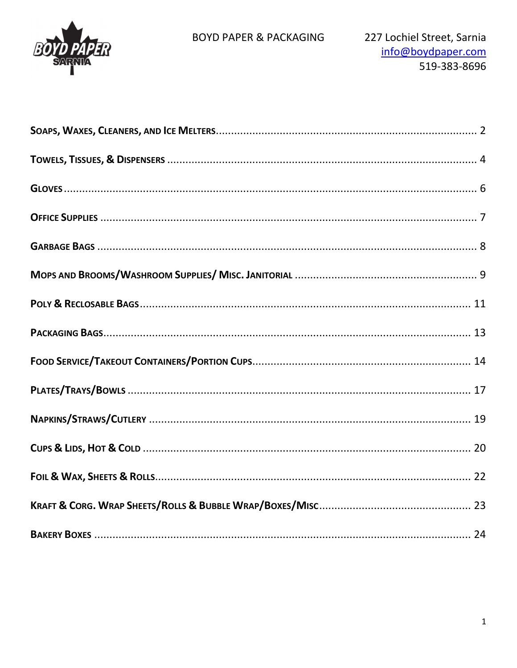

#### **BOYD PAPER & PACKAGING**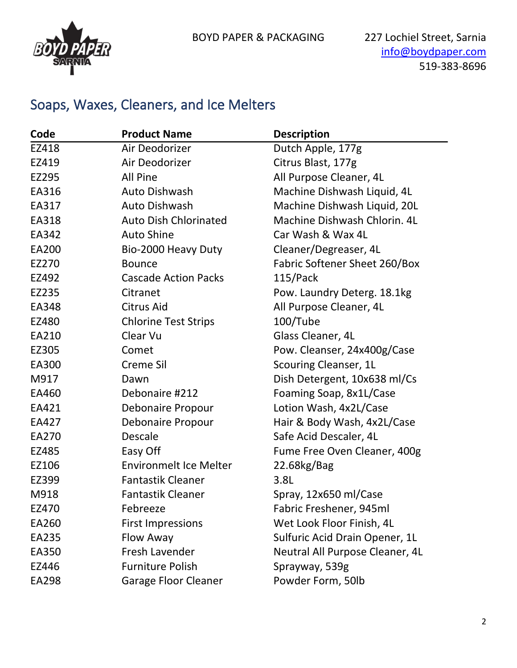

#### Soaps, Waxes, Cleaners, and Ice Melters

| Code  | <b>Product Name</b>           | <b>Description</b>              |
|-------|-------------------------------|---------------------------------|
| EZ418 | Air Deodorizer                | Dutch Apple, 177g               |
| EZ419 | Air Deodorizer                | Citrus Blast, 177g              |
| EZ295 | All Pine                      | All Purpose Cleaner, 4L         |
| EA316 | <b>Auto Dishwash</b>          | Machine Dishwash Liquid, 4L     |
| EA317 | <b>Auto Dishwash</b>          | Machine Dishwash Liquid, 20L    |
| EA318 | <b>Auto Dish Chlorinated</b>  | Machine Dishwash Chlorin, 4L    |
| EA342 | <b>Auto Shine</b>             | Car Wash & Wax 4L               |
| EA200 | Bio-2000 Heavy Duty           | Cleaner/Degreaser, 4L           |
| EZ270 | <b>Bounce</b>                 | Fabric Softener Sheet 260/Box   |
| EZ492 | <b>Cascade Action Packs</b>   | 115/Pack                        |
| EZ235 | Citranet                      | Pow. Laundry Deterg. 18.1kg     |
| EA348 | Citrus Aid                    | All Purpose Cleaner, 4L         |
| EZ480 | <b>Chlorine Test Strips</b>   | 100/Tube                        |
| EA210 | Clear Vu                      | Glass Cleaner, 4L               |
| EZ305 | Comet                         | Pow. Cleanser, 24x400g/Case     |
| EA300 | <b>Creme Sil</b>              | Scouring Cleanser, 1L           |
| M917  | Dawn                          | Dish Detergent, 10x638 ml/Cs    |
| EA460 | Debonaire #212                | Foaming Soap, 8x1L/Case         |
| EA421 | <b>Debonaire Propour</b>      | Lotion Wash, 4x2L/Case          |
| EA427 | Debonaire Propour             | Hair & Body Wash, 4x2L/Case     |
| EA270 | Descale                       | Safe Acid Descaler, 4L          |
| EZ485 | Easy Off                      | Fume Free Oven Cleaner, 400g    |
| EZ106 | <b>Environmelt Ice Melter</b> | 22.68kg/Bag                     |
| EZ399 | <b>Fantastik Cleaner</b>      | 3.8L                            |
| M918  | <b>Fantastik Cleaner</b>      | Spray, 12x650 ml/Case           |
| EZ470 | Febreeze                      | Fabric Freshener, 945ml         |
| EA260 | <b>First Impressions</b>      | Wet Look Floor Finish, 4L       |
| EA235 | Flow Away                     | Sulfuric Acid Drain Opener, 1L  |
| EA350 | Fresh Lavender                | Neutral All Purpose Cleaner, 4L |
| EZ446 | <b>Furniture Polish</b>       | Sprayway, 539g                  |
| EA298 | <b>Garage Floor Cleaner</b>   | Powder Form, 50lb               |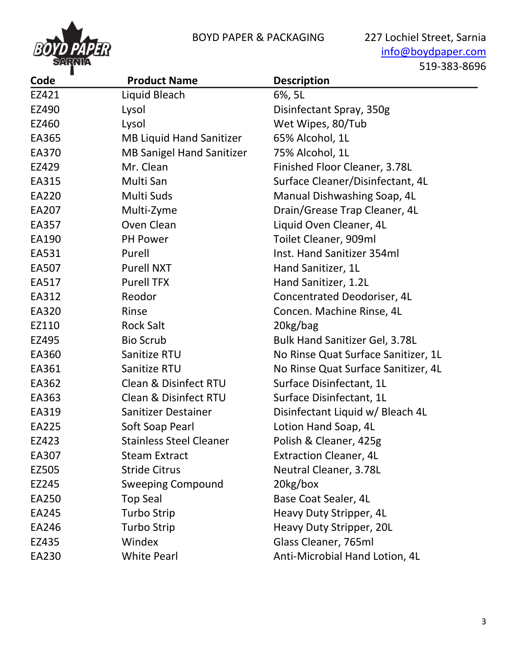

[info@boydpaper.com](mailto:info@boydpaper.com) 519-383-8696

| Code  | <b>Product Name</b>              | <b>Description</b>                    |
|-------|----------------------------------|---------------------------------------|
| EZ421 | Liquid Bleach                    | 6%, 5L                                |
| EZ490 | Lysol                            | Disinfectant Spray, 350g              |
| EZ460 | Lysol                            | Wet Wipes, 80/Tub                     |
| EA365 | <b>MB Liquid Hand Sanitizer</b>  | 65% Alcohol, 1L                       |
| EA370 | <b>MB Sanigel Hand Sanitizer</b> | 75% Alcohol, 1L                       |
| EZ429 | Mr. Clean                        | Finished Floor Cleaner, 3.78L         |
| EA315 | Multi San                        | Surface Cleaner/Disinfectant, 4L      |
| EA220 | Multi Suds                       | Manual Dishwashing Soap, 4L           |
| EA207 | Multi-Zyme                       | Drain/Grease Trap Cleaner, 4L         |
| EA357 | Oven Clean                       | Liquid Oven Cleaner, 4L               |
| EA190 | PH Power                         | Toilet Cleaner, 909ml                 |
| EA531 | Purell                           | Inst. Hand Sanitizer 354ml            |
| EA507 | <b>Purell NXT</b>                | Hand Sanitizer, 1L                    |
| EA517 | <b>Purell TFX</b>                | Hand Sanitizer, 1.2L                  |
| EA312 | Reodor                           | Concentrated Deodoriser, 4L           |
| EA320 | Rinse                            | Concen. Machine Rinse, 4L             |
| EZ110 | <b>Rock Salt</b>                 | 20kg/bag                              |
| EZ495 | <b>Bio Scrub</b>                 | <b>Bulk Hand Sanitizer Gel, 3.78L</b> |
| EA360 | Sanitize RTU                     | No Rinse Quat Surface Sanitizer, 1L   |
| EA361 | Sanitize RTU                     | No Rinse Quat Surface Sanitizer, 4L   |
| EA362 | Clean & Disinfect RTU            | Surface Disinfectant, 1L              |
| EA363 | <b>Clean &amp; Disinfect RTU</b> | Surface Disinfectant, 1L              |
| EA319 | Sanitizer Destainer              | Disinfectant Liquid w/ Bleach 4L      |
| EA225 | Soft Soap Pearl                  | Lotion Hand Soap, 4L                  |
| EZ423 | <b>Stainless Steel Cleaner</b>   | Polish & Cleaner, 425g                |
| EA307 | <b>Steam Extract</b>             | <b>Extraction Cleaner, 4L</b>         |
| EZ505 | <b>Stride Citrus</b>             | Neutral Cleaner, 3.78L                |
| EZ245 | <b>Sweeping Compound</b>         | 20kg/box                              |
| EA250 | <b>Top Seal</b>                  | Base Coat Sealer, 4L                  |
| EA245 | <b>Turbo Strip</b>               | Heavy Duty Stripper, 4L               |
| EA246 | <b>Turbo Strip</b>               | Heavy Duty Stripper, 20L              |
| EZ435 | Windex                           | Glass Cleaner, 765ml                  |
| EA230 | <b>White Pearl</b>               | Anti-Microbial Hand Lotion, 4L        |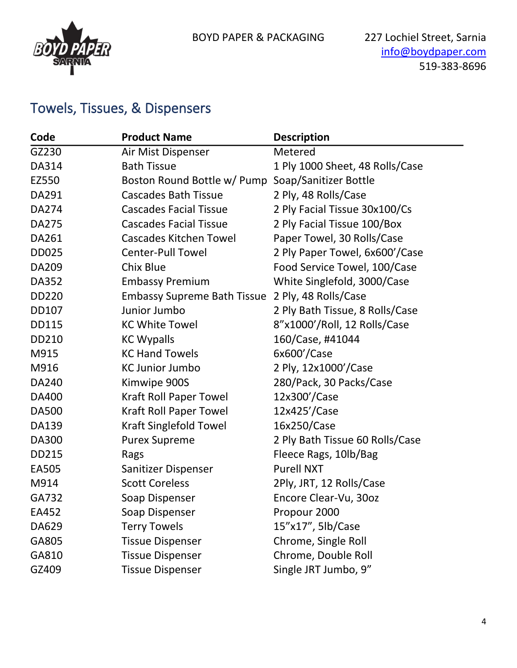

#### Towels, Tissues, & Dispensers

| Code         | <b>Product Name</b>                | <b>Description</b>              |
|--------------|------------------------------------|---------------------------------|
| GZ230        | Air Mist Dispenser                 | Metered                         |
| DA314        | <b>Bath Tissue</b>                 | 1 Ply 1000 Sheet, 48 Rolls/Case |
| EZ550        | Boston Round Bottle w/ Pump        | Soap/Sanitizer Bottle           |
| DA291        | <b>Cascades Bath Tissue</b>        | 2 Ply, 48 Rolls/Case            |
| DA274        | <b>Cascades Facial Tissue</b>      | 2 Ply Facial Tissue 30x100/Cs   |
| <b>DA275</b> | <b>Cascades Facial Tissue</b>      | 2 Ply Facial Tissue 100/Box     |
| DA261        | <b>Cascades Kitchen Towel</b>      | Paper Towel, 30 Rolls/Case      |
| <b>DD025</b> | <b>Center-Pull Towel</b>           | 2 Ply Paper Towel, 6x600'/Case  |
| DA209        | <b>Chix Blue</b>                   | Food Service Towel, 100/Case    |
| DA352        | <b>Embassy Premium</b>             | White Singlefold, 3000/Case     |
| DD220        | <b>Embassy Supreme Bath Tissue</b> | 2 Ply, 48 Rolls/Case            |
| DD107        | Junior Jumbo                       | 2 Ply Bath Tissue, 8 Rolls/Case |
| <b>DD115</b> | <b>KC White Towel</b>              | 8"x1000'/Roll, 12 Rolls/Case    |
| DD210        | <b>KC Wypalls</b>                  | 160/Case, #41044                |
| M915         | <b>KC Hand Towels</b>              | 6x600'/Case                     |
| M916         | <b>KC Junior Jumbo</b>             | 2 Ply, 12x1000'/Case            |
| DA240        | Kimwipe 900S                       | 280/Pack, 30 Packs/Case         |
| DA400        | <b>Kraft Roll Paper Towel</b>      | 12x300'/Case                    |
| <b>DA500</b> | <b>Kraft Roll Paper Towel</b>      | 12x425'/Case                    |
| DA139        | <b>Kraft Singlefold Towel</b>      | 16x250/Case                     |
| <b>DA300</b> | <b>Purex Supreme</b>               | 2 Ply Bath Tissue 60 Rolls/Case |
| DD215        | Rags                               | Fleece Rags, 10lb/Bag           |
| EA505        | Sanitizer Dispenser                | <b>Purell NXT</b>               |
| M914         | <b>Scott Coreless</b>              | 2Ply, JRT, 12 Rolls/Case        |
| GA732        | Soap Dispenser                     | Encore Clear-Vu, 30oz           |
| EA452        | Soap Dispenser                     | Propour 2000                    |
| DA629        | <b>Terry Towels</b>                | 15"x17", 5lb/Case               |
| GA805        | <b>Tissue Dispenser</b>            | Chrome, Single Roll             |
| GA810        | <b>Tissue Dispenser</b>            | Chrome, Double Roll             |
| GZ409        | <b>Tissue Dispenser</b>            | Single JRT Jumbo, 9"            |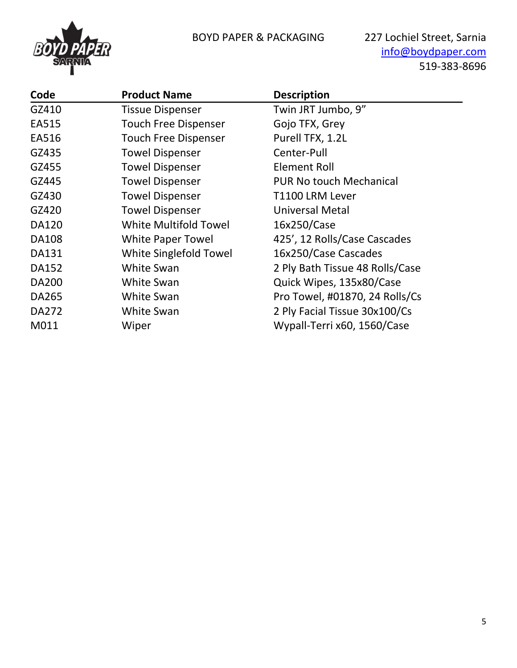

[info@boydpaper.com](mailto:info@boydpaper.com) 519-383-8696

| Code         | <b>Product Name</b>          | <b>Description</b>              |
|--------------|------------------------------|---------------------------------|
| GZ410        | <b>Tissue Dispenser</b>      | Twin JRT Jumbo, 9"              |
| EA515        | <b>Touch Free Dispenser</b>  | Gojo TFX, Grey                  |
| EA516        | <b>Touch Free Dispenser</b>  | Purell TFX, 1.2L                |
| GZ435        | <b>Towel Dispenser</b>       | Center-Pull                     |
| GZ455        | <b>Towel Dispenser</b>       | <b>Element Roll</b>             |
| GZ445        | <b>Towel Dispenser</b>       | <b>PUR No touch Mechanical</b>  |
| GZ430        | <b>Towel Dispenser</b>       | T1100 LRM Lever                 |
| GZ420        | <b>Towel Dispenser</b>       | <b>Universal Metal</b>          |
| <b>DA120</b> | <b>White Multifold Towel</b> | 16x250/Case                     |
| <b>DA108</b> | White Paper Towel            | 425', 12 Rolls/Case Cascades    |
| DA131        | White Singlefold Towel       | 16x250/Case Cascades            |
| DA152        | <b>White Swan</b>            | 2 Ply Bath Tissue 48 Rolls/Case |
| <b>DA200</b> | <b>White Swan</b>            | Quick Wipes, 135x80/Case        |
| DA265        | <b>White Swan</b>            | Pro Towel, #01870, 24 Rolls/Cs  |
| DA272        | <b>White Swan</b>            | 2 Ply Facial Tissue 30x100/Cs   |
| M011         | Wiper                        | Wypall-Terri x60, 1560/Case     |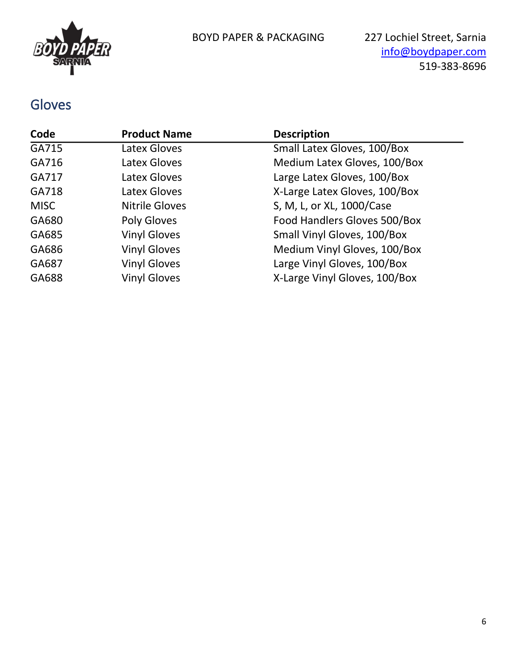

#### Gloves

| Code        | <b>Product Name</b>   | <b>Description</b>            |
|-------------|-----------------------|-------------------------------|
| GA715       | Latex Gloves          | Small Latex Gloves, 100/Box   |
| GA716       | Latex Gloves          | Medium Latex Gloves, 100/Box  |
| GA717       | Latex Gloves          | Large Latex Gloves, 100/Box   |
| GA718       | Latex Gloves          | X-Large Latex Gloves, 100/Box |
| <b>MISC</b> | <b>Nitrile Gloves</b> | S, M, L, or XL, 1000/Case     |
| GA680       | Poly Gloves           | Food Handlers Gloves 500/Box  |
| GA685       | <b>Vinyl Gloves</b>   | Small Vinyl Gloves, 100/Box   |
| GA686       | <b>Vinyl Gloves</b>   | Medium Vinyl Gloves, 100/Box  |
| GA687       | <b>Vinyl Gloves</b>   | Large Vinyl Gloves, 100/Box   |
| GA688       | <b>Vinyl Gloves</b>   | X-Large Vinyl Gloves, 100/Box |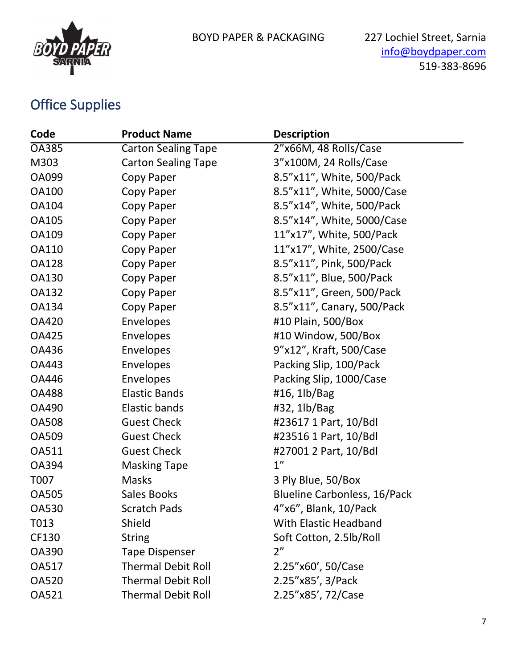

## Office Supplies

| Code         | <b>Product Name</b>        | <b>Description</b>                  |
|--------------|----------------------------|-------------------------------------|
| <b>OA385</b> | <b>Carton Sealing Tape</b> | 2"x66M, 48 Rolls/Case               |
| M303         | <b>Carton Sealing Tape</b> | 3"x100M, 24 Rolls/Case              |
| <b>OA099</b> | Copy Paper                 | 8.5"x11", White, 500/Pack           |
| <b>OA100</b> | Copy Paper                 | 8.5"x11", White, 5000/Case          |
| <b>OA104</b> | Copy Paper                 | 8.5"x14", White, 500/Pack           |
| <b>OA105</b> | Copy Paper                 | 8.5"x14", White, 5000/Case          |
| <b>OA109</b> | Copy Paper                 | 11"x17", White, 500/Pack            |
| <b>OA110</b> | Copy Paper                 | 11"x17", White, 2500/Case           |
| <b>OA128</b> | Copy Paper                 | 8.5"x11", Pink, 500/Pack            |
| <b>OA130</b> | Copy Paper                 | 8.5"x11", Blue, 500/Pack            |
| <b>OA132</b> | Copy Paper                 | 8.5"x11", Green, 500/Pack           |
| <b>OA134</b> | Copy Paper                 | 8.5"x11", Canary, 500/Pack          |
| <b>OA420</b> | Envelopes                  | #10 Plain, 500/Box                  |
| <b>OA425</b> | <b>Envelopes</b>           | #10 Window, 500/Box                 |
| <b>OA436</b> | Envelopes                  | 9"x12", Kraft, 500/Case             |
| <b>OA443</b> | Envelopes                  | Packing Slip, 100/Pack              |
| OA446        | Envelopes                  | Packing Slip, 1000/Case             |
| <b>OA488</b> | <b>Elastic Bands</b>       | #16, $1\frac{1}{\text{Bag}}$        |
| <b>OA490</b> | Elastic bands              | #32, 1lb/Bag                        |
| <b>OA508</b> | <b>Guest Check</b>         | #23617 1 Part, 10/Bdl               |
| <b>OA509</b> | <b>Guest Check</b>         | #23516 1 Part, 10/Bdl               |
| <b>OA511</b> | <b>Guest Check</b>         | #27001 2 Part, 10/Bdl               |
| <b>OA394</b> | <b>Masking Tape</b>        | 1''                                 |
| T007         | <b>Masks</b>               | 3 Ply Blue, 50/Box                  |
| <b>OA505</b> | Sales Books                | <b>Blueline Carbonless, 16/Pack</b> |
| <b>OA530</b> | <b>Scratch Pads</b>        | 4"x6", Blank, 10/Pack               |
| T013         | Shield                     | <b>With Elastic Headband</b>        |
| CF130        | <b>String</b>              | Soft Cotton, 2.5lb/Roll             |
| <b>OA390</b> | <b>Tape Dispenser</b>      | 2 <sup>n</sup>                      |
| <b>OA517</b> | <b>Thermal Debit Roll</b>  | 2.25"x60', 50/Case                  |
| <b>OA520</b> | <b>Thermal Debit Roll</b>  | 2.25"x85', 3/Pack                   |
| <b>OA521</b> | <b>Thermal Debit Roll</b>  | 2.25"x85', 72/Case                  |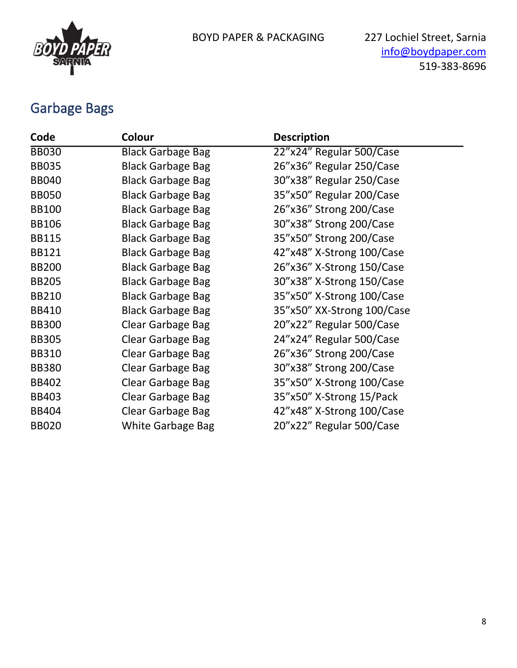

#### Garbage Bags

| Code         | Colour                   | <b>Description</b>         |
|--------------|--------------------------|----------------------------|
| <b>BB030</b> | <b>Black Garbage Bag</b> | 22"x24" Regular 500/Case   |
| <b>BB035</b> | <b>Black Garbage Bag</b> | 26"x36" Regular 250/Case   |
| <b>BB040</b> | <b>Black Garbage Bag</b> | 30"x38" Regular 250/Case   |
| <b>BB050</b> | <b>Black Garbage Bag</b> | 35"x50" Regular 200/Case   |
| <b>BB100</b> | <b>Black Garbage Bag</b> | 26"x36" Strong 200/Case    |
| <b>BB106</b> | <b>Black Garbage Bag</b> | 30"x38" Strong 200/Case    |
| <b>BB115</b> | <b>Black Garbage Bag</b> | 35"x50" Strong 200/Case    |
| <b>BB121</b> | <b>Black Garbage Bag</b> | 42"x48" X-Strong 100/Case  |
| <b>BB200</b> | <b>Black Garbage Bag</b> | 26"x36" X-Strong 150/Case  |
| <b>BB205</b> | <b>Black Garbage Bag</b> | 30"x38" X-Strong 150/Case  |
| <b>BB210</b> | <b>Black Garbage Bag</b> | 35"x50" X-Strong 100/Case  |
| <b>BB410</b> | <b>Black Garbage Bag</b> | 35"x50" XX-Strong 100/Case |
| <b>BB300</b> | Clear Garbage Bag        | 20"x22" Regular 500/Case   |
| <b>BB305</b> | Clear Garbage Bag        | 24"x24" Regular 500/Case   |
| <b>BB310</b> | Clear Garbage Bag        | 26"x36" Strong 200/Case    |
| <b>BB380</b> | Clear Garbage Bag        | 30"x38" Strong 200/Case    |
| <b>BB402</b> | Clear Garbage Bag        | 35"x50" X-Strong 100/Case  |
| <b>BB403</b> | Clear Garbage Bag        | 35"x50" X-Strong 15/Pack   |
| <b>BB404</b> | Clear Garbage Bag        | 42"x48" X-Strong 100/Case  |
| <b>BB020</b> | White Garbage Bag        | 20"x22" Regular 500/Case   |
|              |                          |                            |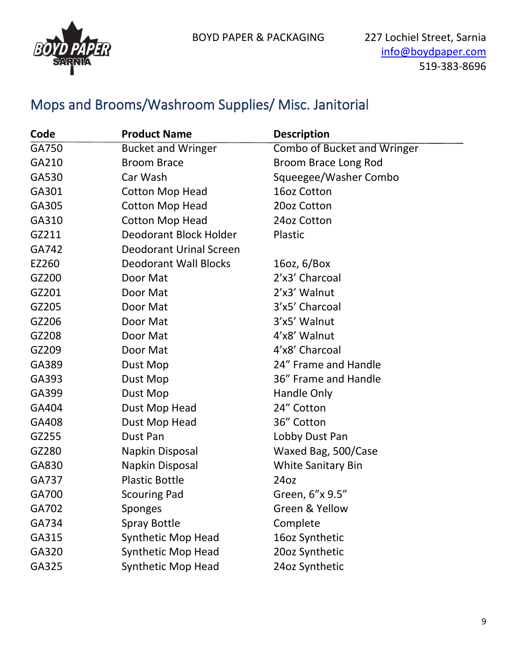

#### Mops and Brooms/Washroom Supplies/ Misc. Janitorial

| Code  | <b>Product Name</b>            | <b>Description</b>                 |
|-------|--------------------------------|------------------------------------|
| GA750 | <b>Bucket and Wringer</b>      | <b>Combo of Bucket and Wringer</b> |
| GA210 | <b>Broom Brace</b>             | Broom Brace Long Rod               |
| GA530 | Car Wash                       | Squeegee/Washer Combo              |
| GA301 | <b>Cotton Mop Head</b>         | 16oz Cotton                        |
| GA305 | <b>Cotton Mop Head</b>         | 20oz Cotton                        |
| GA310 | <b>Cotton Mop Head</b>         | 24oz Cotton                        |
| GZ211 | Deodorant Block Holder         | Plastic                            |
| GA742 | <b>Deodorant Urinal Screen</b> |                                    |
| EZ260 | <b>Deodorant Wall Blocks</b>   | 16oz, $6/Box$                      |
| GZ200 | Door Mat                       | 2'x3' Charcoal                     |
| GZ201 | Door Mat                       | 2'x3' Walnut                       |
| GZ205 | Door Mat                       | 3'x5' Charcoal                     |
| GZ206 | Door Mat                       | 3'x5' Walnut                       |
| GZ208 | Door Mat                       | 4'x8' Walnut                       |
| GZ209 | Door Mat                       | 4'x8' Charcoal                     |
| GA389 | Dust Mop                       | 24" Frame and Handle               |
| GA393 | Dust Mop                       | 36" Frame and Handle               |
| GA399 | Dust Mop                       | Handle Only                        |
| GA404 | Dust Mop Head                  | 24" Cotton                         |
| GA408 | Dust Mop Head                  | 36" Cotton                         |
| GZ255 | Dust Pan                       | Lobby Dust Pan                     |
| GZ280 | Napkin Disposal                | Waxed Bag, 500/Case                |
| GA830 | Napkin Disposal                | <b>White Sanitary Bin</b>          |
| GA737 | <b>Plastic Bottle</b>          | 24oz                               |
| GA700 | <b>Scouring Pad</b>            | Green, 6"x 9.5"                    |
| GA702 | Sponges                        | Green & Yellow                     |
| GA734 | <b>Spray Bottle</b>            | Complete                           |
| GA315 | Synthetic Mop Head             | 16oz Synthetic                     |
| GA320 | <b>Synthetic Mop Head</b>      | 20oz Synthetic                     |
| GA325 | <b>Synthetic Mop Head</b>      | 24oz Synthetic                     |
|       |                                |                                    |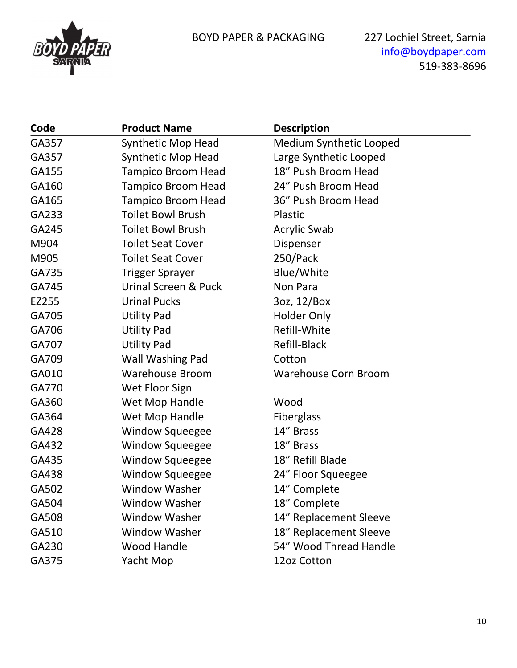

| Code  | <b>Product Name</b>             | <b>Description</b>          |
|-------|---------------------------------|-----------------------------|
| GA357 | <b>Synthetic Mop Head</b>       | Medium Synthetic Looped     |
| GA357 | <b>Synthetic Mop Head</b>       | Large Synthetic Looped      |
| GA155 | <b>Tampico Broom Head</b>       | 18" Push Broom Head         |
| GA160 | <b>Tampico Broom Head</b>       | 24" Push Broom Head         |
| GA165 | <b>Tampico Broom Head</b>       | 36" Push Broom Head         |
| GA233 | <b>Toilet Bowl Brush</b>        | Plastic                     |
| GA245 | <b>Toilet Bowl Brush</b>        | <b>Acrylic Swab</b>         |
| M904  | <b>Toilet Seat Cover</b>        | Dispenser                   |
| M905  | <b>Toilet Seat Cover</b>        | 250/Pack                    |
| GA735 | <b>Trigger Sprayer</b>          | Blue/White                  |
| GA745 | <b>Urinal Screen &amp; Puck</b> | Non Para                    |
| EZ255 | <b>Urinal Pucks</b>             | 3oz, 12/Box                 |
| GA705 | <b>Utility Pad</b>              | <b>Holder Only</b>          |
| GA706 | <b>Utility Pad</b>              | Refill-White                |
| GA707 | <b>Utility Pad</b>              | Refill-Black                |
| GA709 | Wall Washing Pad                | Cotton                      |
| GA010 | <b>Warehouse Broom</b>          | <b>Warehouse Corn Broom</b> |
| GA770 | Wet Floor Sign                  |                             |
| GA360 | Wet Mop Handle                  | Wood                        |
| GA364 | Wet Mop Handle                  | <b>Fiberglass</b>           |
| GA428 | Window Squeegee                 | 14" Brass                   |
| GA432 | <b>Window Squeegee</b>          | 18" Brass                   |
| GA435 | <b>Window Squeegee</b>          | 18" Refill Blade            |
| GA438 | <b>Window Squeegee</b>          | 24" Floor Squeegee          |
| GA502 | <b>Window Washer</b>            | 14" Complete                |
| GA504 | <b>Window Washer</b>            | 18" Complete                |
| GA508 | <b>Window Washer</b>            | 14" Replacement Sleeve      |
| GA510 | <b>Window Washer</b>            | 18" Replacement Sleeve      |
| GA230 | <b>Wood Handle</b>              | 54" Wood Thread Handle      |
| GA375 | Yacht Mop                       | 12oz Cotton                 |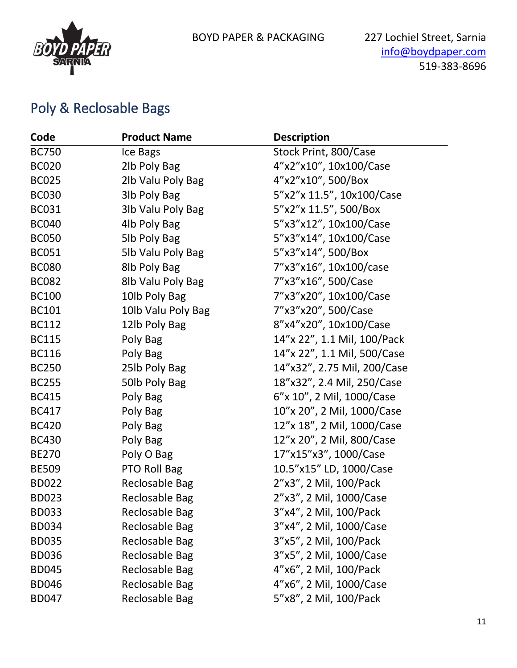

#### Poly & Reclosable Bags

| Code         | <b>Product Name</b>   | <b>Description</b>          |
|--------------|-----------------------|-----------------------------|
| <b>BC750</b> | Ice Bags              | Stock Print, 800/Case       |
| <b>BC020</b> | 2lb Poly Bag          | 4"x2"x10", 10x100/Case      |
| <b>BC025</b> | 2lb Valu Poly Bag     | 4"x2"x10", 500/Box          |
| <b>BC030</b> | 3lb Poly Bag          | 5"x2"x 11.5", 10x100/Case   |
| <b>BC031</b> | 3lb Valu Poly Bag     | 5"x2"x 11.5", 500/Box       |
| <b>BC040</b> | 4lb Poly Bag          | 5"x3"x12", 10x100/Case      |
| <b>BC050</b> | 5lb Poly Bag          | 5"x3"x14", 10x100/Case      |
| <b>BC051</b> | 5lb Valu Poly Bag     | 5"x3"x14", 500/Box          |
| <b>BC080</b> | 8lb Poly Bag          | 7"x3"x16", 10x100/case      |
| <b>BC082</b> | 8lb Valu Poly Bag     | 7"x3"x16", 500/Case         |
| <b>BC100</b> | 10lb Poly Bag         | 7"x3"x20", 10x100/Case      |
| <b>BC101</b> | 10lb Valu Poly Bag    | 7"x3"x20", 500/Case         |
| <b>BC112</b> | 12lb Poly Bag         | 8"x4"x20", 10x100/Case      |
| <b>BC115</b> | Poly Bag              | 14"x 22", 1.1 Mil, 100/Pack |
| <b>BC116</b> | Poly Bag              | 14"x 22", 1.1 Mil, 500/Case |
| <b>BC250</b> | 25lb Poly Bag         | 14"x32", 2.75 Mil, 200/Case |
| <b>BC255</b> | 50lb Poly Bag         | 18"x32", 2.4 Mil, 250/Case  |
| <b>BC415</b> | Poly Bag              | 6"x 10", 2 Mil, 1000/Case   |
| <b>BC417</b> | Poly Bag              | 10"x 20", 2 Mil, 1000/Case  |
| <b>BC420</b> | Poly Bag              | 12"x 18", 2 Mil, 1000/Case  |
| <b>BC430</b> | Poly Bag              | 12"x 20", 2 Mil, 800/Case   |
| <b>BE270</b> | Poly O Bag            | 17"x15"x3", 1000/Case       |
| <b>BE509</b> | PTO Roll Bag          | 10.5"x15" LD, 1000/Case     |
| <b>BD022</b> | <b>Reclosable Bag</b> | 2"x3", 2 Mil, 100/Pack      |
| <b>BD023</b> | <b>Reclosable Bag</b> | 2"x3", 2 Mil, 1000/Case     |
| <b>BD033</b> | <b>Reclosable Bag</b> | 3"x4", 2 Mil, 100/Pack      |
| <b>BD034</b> | <b>Reclosable Bag</b> | 3"x4", 2 Mil, 1000/Case     |
| <b>BD035</b> | <b>Reclosable Bag</b> | 3"x5", 2 Mil, 100/Pack      |
| <b>BD036</b> | <b>Reclosable Bag</b> | 3"x5", 2 Mil, 1000/Case     |
| <b>BD045</b> | Reclosable Bag        | 4"x6", 2 Mil, 100/Pack      |
| <b>BD046</b> | <b>Reclosable Bag</b> | 4"x6", 2 Mil, 1000/Case     |
| <b>BD047</b> | <b>Reclosable Bag</b> | 5"x8", 2 Mil, 100/Pack      |
|              |                       |                             |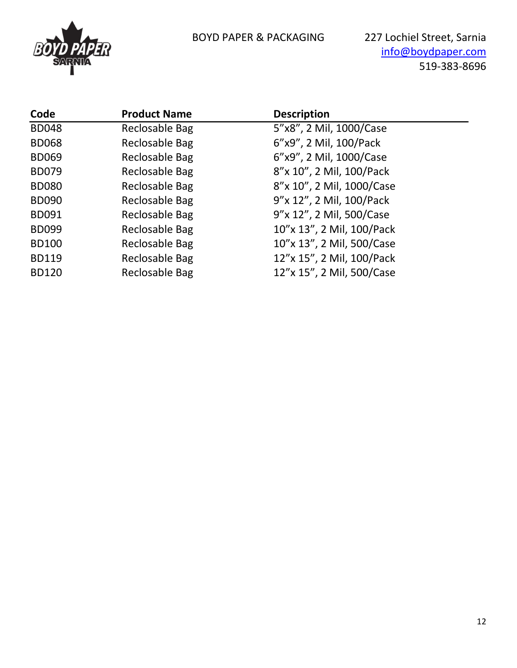

BOYD PAPER & PACKAGING 227 Lochiel Street, Sarnia [info@boydpaper.com](mailto:info@boydpaper.com) 519-383-8696

| Code         | <b>Product Name</b>   | <b>Description</b>        |
|--------------|-----------------------|---------------------------|
| <b>BD048</b> | Reclosable Bag        | 5"x8", 2 Mil, 1000/Case   |
| <b>BD068</b> | Reclosable Bag        | 6"x9", 2 Mil, 100/Pack    |
| <b>BD069</b> | Reclosable Bag        | 6"x9", 2 Mil, 1000/Case   |
| <b>BD079</b> | <b>Reclosable Bag</b> | 8"x 10", 2 Mil, 100/Pack  |
| <b>BD080</b> | Reclosable Bag        | 8"x 10", 2 Mil, 1000/Case |
| <b>BD090</b> | Reclosable Bag        | 9"x 12", 2 Mil, 100/Pack  |
| <b>BD091</b> | Reclosable Bag        | 9"x 12", 2 Mil, 500/Case  |
| <b>BD099</b> | Reclosable Bag        | 10"x 13", 2 Mil, 100/Pack |
| <b>BD100</b> | <b>Reclosable Bag</b> | 10"x 13", 2 Mil, 500/Case |
| <b>BD119</b> | Reclosable Bag        | 12"x 15", 2 Mil, 100/Pack |
| <b>BD120</b> | Reclosable Bag        | 12"x 15", 2 Mil, 500/Case |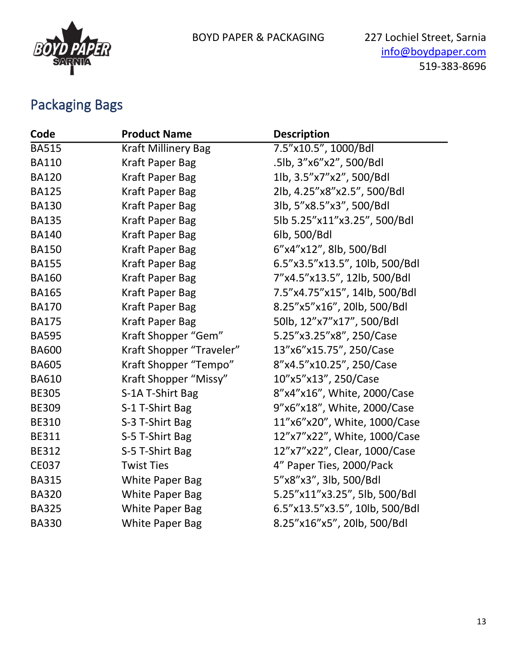

## Packaging Bags

| Code         | <b>Product Name</b>        | <b>Description</b>             |
|--------------|----------------------------|--------------------------------|
| <b>BA515</b> | <b>Kraft Millinery Bag</b> | 7.5"x10.5", 1000/Bdl           |
| <b>BA110</b> | <b>Kraft Paper Bag</b>     | .5lb, 3"x6"x2", 500/Bdl        |
| <b>BA120</b> | <b>Kraft Paper Bag</b>     | 1lb, 3.5"x7"x2", 500/Bdl       |
| <b>BA125</b> | Kraft Paper Bag            | 2lb, 4.25"x8"x2.5", 500/Bdl    |
| <b>BA130</b> | <b>Kraft Paper Bag</b>     | 3lb, 5"x8.5"x3", 500/Bdl       |
| <b>BA135</b> | Kraft Paper Bag            | 5lb 5.25"x11"x3.25", 500/Bdl   |
| <b>BA140</b> | Kraft Paper Bag            | 6lb, 500/Bdl                   |
| <b>BA150</b> | <b>Kraft Paper Bag</b>     | 6"x4"x12", 8lb, 500/Bdl        |
| <b>BA155</b> | Kraft Paper Bag            | 6.5"x3.5"x13.5", 10lb, 500/Bdl |
| <b>BA160</b> | Kraft Paper Bag            | 7"x4.5"x13.5", 12lb, 500/Bdl   |
| <b>BA165</b> | <b>Kraft Paper Bag</b>     | 7.5"x4.75"x15", 14lb, 500/Bdl  |
| <b>BA170</b> | <b>Kraft Paper Bag</b>     | 8.25"x5"x16", 20lb, 500/Bdl    |
| <b>BA175</b> | Kraft Paper Bag            | 50lb, 12"x7"x17", 500/Bdl      |
| <b>BA595</b> | Kraft Shopper "Gem"        | 5.25"x3.25"x8", 250/Case       |
| <b>BA600</b> | Kraft Shopper "Traveler"   | 13"x6"x15.75", 250/Case        |
| <b>BA605</b> | Kraft Shopper "Tempo"      | 8"x4.5"x10.25", 250/Case       |
| <b>BA610</b> | Kraft Shopper "Missy"      | 10"x5"x13", 250/Case           |
| <b>BE305</b> | S-1A T-Shirt Bag           | 8"x4"x16", White, 2000/Case    |
| <b>BE309</b> | S-1 T-Shirt Bag            | 9"x6"x18", White, 2000/Case    |
| <b>BE310</b> | S-3 T-Shirt Bag            | 11"x6"x20", White, 1000/Case   |
| <b>BE311</b> | S-5 T-Shirt Bag            | 12"x7"x22", White, 1000/Case   |
| <b>BE312</b> | S-5 T-Shirt Bag            | 12"x7"x22", Clear, 1000/Case   |
| <b>CE037</b> | <b>Twist Ties</b>          | 4" Paper Ties, 2000/Pack       |
| <b>BA315</b> | <b>White Paper Bag</b>     | 5"x8"x3", 3lb, 500/Bdl         |
| <b>BA320</b> | <b>White Paper Bag</b>     | 5.25"x11"x3.25", 5lb, 500/Bdl  |
| <b>BA325</b> | <b>White Paper Bag</b>     | 6.5"x13.5"x3.5", 10lb, 500/Bdl |
| <b>BA330</b> | <b>White Paper Bag</b>     | 8.25"x16"x5", 20lb, 500/Bdl    |
|              |                            |                                |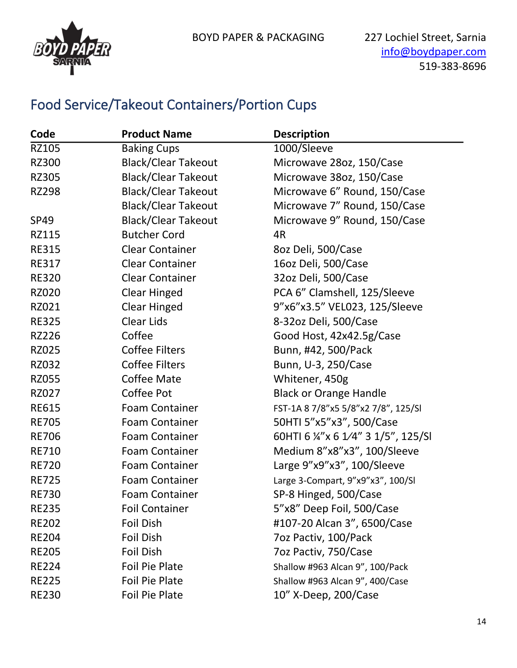

#### Food Service/Takeout Containers/Portion Cups

| Code         | <b>Product Name</b>        | <b>Description</b>                  |
|--------------|----------------------------|-------------------------------------|
| <b>RZ105</b> | <b>Baking Cups</b>         | 1000/Sleeve                         |
| <b>RZ300</b> | <b>Black/Clear Takeout</b> | Microwave 28oz, 150/Case            |
| <b>RZ305</b> | <b>Black/Clear Takeout</b> | Microwave 38oz, 150/Case            |
| <b>RZ298</b> | <b>Black/Clear Takeout</b> | Microwave 6" Round, 150/Case        |
|              | <b>Black/Clear Takeout</b> | Microwave 7" Round, 150/Case        |
| <b>SP49</b>  | <b>Black/Clear Takeout</b> | Microwave 9" Round, 150/Case        |
| RZ115        | <b>Butcher Cord</b>        | 4R                                  |
| <b>RE315</b> | <b>Clear Container</b>     | 8oz Deli, 500/Case                  |
| <b>RE317</b> | <b>Clear Container</b>     | 16oz Deli, 500/Case                 |
| <b>RE320</b> | <b>Clear Container</b>     | 32oz Deli, 500/Case                 |
| <b>RZ020</b> | <b>Clear Hinged</b>        | PCA 6" Clamshell, 125/Sleeve        |
| RZ021        | <b>Clear Hinged</b>        | 9"x6"x3.5" VEL023, 125/Sleeve       |
| <b>RE325</b> | <b>Clear Lids</b>          | 8-32oz Deli, 500/Case               |
| <b>RZ226</b> | Coffee                     | Good Host, 42x42.5g/Case            |
| <b>RZ025</b> | <b>Coffee Filters</b>      | Bunn, #42, 500/Pack                 |
| RZ032        | <b>Coffee Filters</b>      | Bunn, U-3, 250/Case                 |
| <b>RZ055</b> | Coffee Mate                | Whitener, 450g                      |
| <b>RZ027</b> | Coffee Pot                 | <b>Black or Orange Handle</b>       |
| <b>RE615</b> | <b>Foam Container</b>      | FST-1A 8 7/8"x5 5/8"x2 7/8", 125/Sl |
| <b>RE705</b> | <b>Foam Container</b>      | 50HTI 5"x5"x3", 500/Case            |
| <b>RE706</b> | <b>Foam Container</b>      | 60HTI 6 ¼"x 6 1/4" 3 1/5", 125/SI   |
| <b>RE710</b> | <b>Foam Container</b>      | Medium 8"x8"x3", 100/Sleeve         |
| <b>RE720</b> | <b>Foam Container</b>      | Large 9"x9"x3", 100/Sleeve          |
| <b>RE725</b> | <b>Foam Container</b>      | Large 3-Compart, 9"x9"x3", 100/Sl   |
| <b>RE730</b> | <b>Foam Container</b>      | SP-8 Hinged, 500/Case               |
| <b>RE235</b> | <b>Foil Container</b>      | 5"x8" Deep Foil, 500/Case           |
| <b>RE202</b> | Foil Dish                  | #107-20 Alcan 3", 6500/Case         |
| <b>RE204</b> | Foil Dish                  | 7oz Pactiv, 100/Pack                |
| <b>RE205</b> | Foil Dish                  | 7oz Pactiv, 750/Case                |
| <b>RE224</b> | <b>Foil Pie Plate</b>      | Shallow #963 Alcan 9", 100/Pack     |
| <b>RE225</b> | Foil Pie Plate             | Shallow #963 Alcan 9", 400/Case     |
| <b>RE230</b> | <b>Foil Pie Plate</b>      | 10" X-Deep, 200/Case                |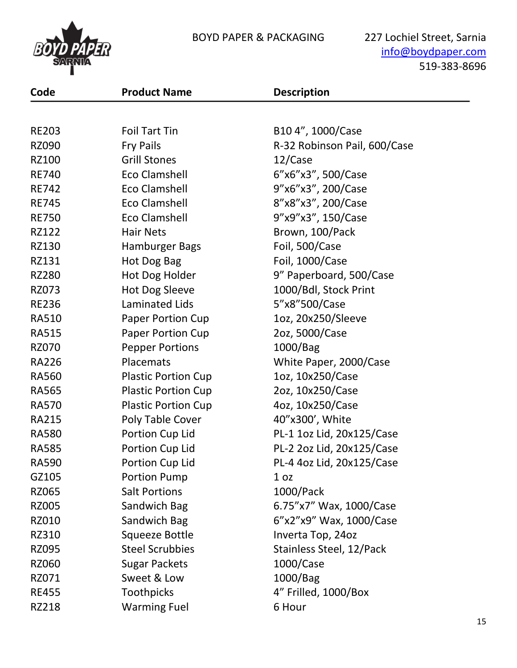



[info@boydpaper.com](mailto:info@boydpaper.com) 519-383-8696

| Code         | <b>Product Name</b>        | <b>Description</b>           |
|--------------|----------------------------|------------------------------|
|              |                            |                              |
| <b>RE203</b> | <b>Foil Tart Tin</b>       | B10 4", 1000/Case            |
| <b>RZ090</b> | <b>Fry Pails</b>           | R-32 Robinson Pail, 600/Case |
| RZ100        | <b>Grill Stones</b>        | 12/Case                      |
| <b>RE740</b> | <b>Eco Clamshell</b>       | 6"x6"x3", 500/Case           |
| <b>RE742</b> | <b>Eco Clamshell</b>       | 9"x6"x3", 200/Case           |
| <b>RE745</b> | <b>Eco Clamshell</b>       | 8"x8"x3", 200/Case           |
| <b>RE750</b> | <b>Eco Clamshell</b>       | 9"x9"x3", 150/Case           |
| RZ122        | <b>Hair Nets</b>           | Brown, 100/Pack              |
| <b>RZ130</b> | Hamburger Bags             | Foil, 500/Case               |
| RZ131        | Hot Dog Bag                | Foil, 1000/Case              |
| <b>RZ280</b> | Hot Dog Holder             | 9" Paperboard, 500/Case      |
| RZ073        | <b>Hot Dog Sleeve</b>      | 1000/Bdl, Stock Print        |
| <b>RE236</b> | Laminated Lids             | 5"x8"500/Case                |
| <b>RA510</b> | <b>Paper Portion Cup</b>   | 1oz, 20x250/Sleeve           |
| <b>RA515</b> | <b>Paper Portion Cup</b>   | 2oz, 5000/Case               |
| <b>RZ070</b> | <b>Pepper Portions</b>     | 1000/Bag                     |
| <b>RA226</b> | Placemats                  | White Paper, 2000/Case       |
| <b>RA560</b> | <b>Plastic Portion Cup</b> | 1oz, 10x250/Case             |
| <b>RA565</b> | <b>Plastic Portion Cup</b> | 2oz, 10x250/Case             |
| <b>RA570</b> | <b>Plastic Portion Cup</b> | 4oz, 10x250/Case             |
| <b>RA215</b> | Poly Table Cover           | 40"x300', White              |
| <b>RA580</b> | Portion Cup Lid            | PL-1 1oz Lid, 20x125/Case    |
| <b>RA585</b> | Portion Cup Lid            | PL-2 2oz Lid, 20x125/Case    |
| <b>RA590</b> | Portion Cup Lid            | PL-4 4oz Lid, 20x125/Case    |
| GZ105        | <b>Portion Pump</b>        | 1 <sub>oz</sub>              |
| <b>RZ065</b> | <b>Salt Portions</b>       | 1000/Pack                    |
| <b>RZ005</b> | Sandwich Bag               | 6.75"x7" Wax, 1000/Case      |
| RZ010        | Sandwich Bag               | 6"x2"x9" Wax, 1000/Case      |
| RZ310        | Squeeze Bottle             | Inverta Top, 24oz            |
| <b>RZ095</b> | <b>Steel Scrubbies</b>     | Stainless Steel, 12/Pack     |
| <b>RZ060</b> | <b>Sugar Packets</b>       | $1000/C$ ase                 |
| RZ071        | Sweet & Low                | 1000/Bag                     |
| <b>RE455</b> | <b>Toothpicks</b>          | 4" Frilled, 1000/Box         |
| RZ218        | <b>Warming Fuel</b>        | 6 Hour                       |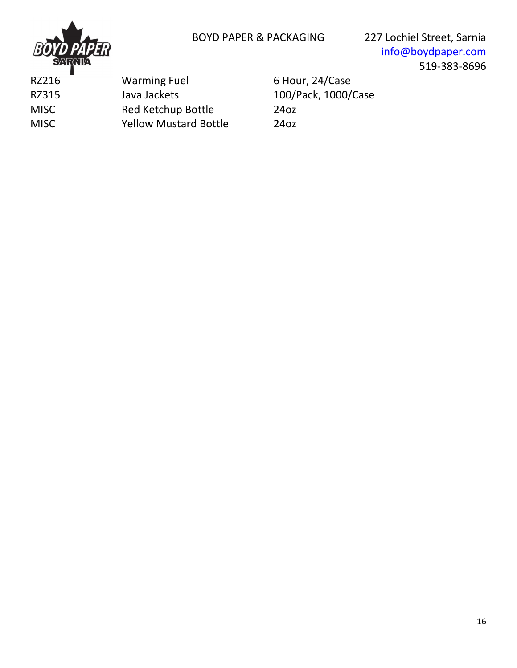

| RZ216       | <b>Warming Fuel</b>          | 6 Ho             |
|-------------|------------------------------|------------------|
| RZ315       | Java Jackets                 | 100/             |
| <b>MISC</b> | <b>Red Ketchup Bottle</b>    | 24 <sub>oz</sub> |
| <b>MISC</b> | <b>Yellow Mustard Bottle</b> | 24 <sub>oz</sub> |
|             |                              |                  |

our, 24/Case 0/Pack, 1000/Case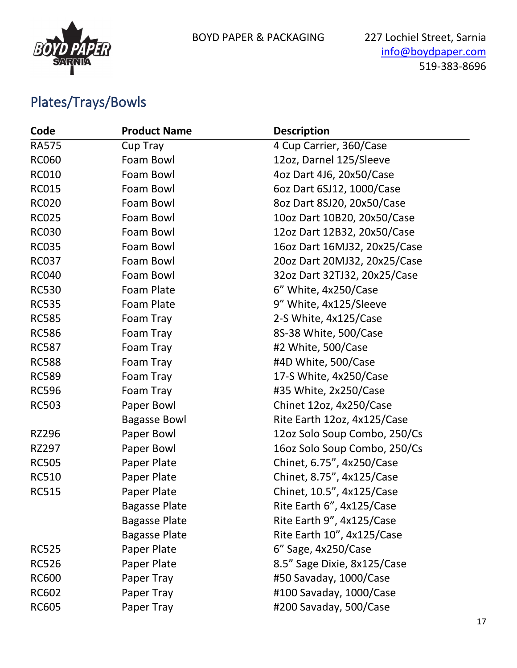

## Plates/Trays/Bowls

| Code         | <b>Product Name</b>  | <b>Description</b>           |
|--------------|----------------------|------------------------------|
| <b>RA575</b> | Cup Tray             | 4 Cup Carrier, 360/Case      |
| <b>RC060</b> | Foam Bowl            | 12oz, Darnel 125/Sleeve      |
| <b>RC010</b> | Foam Bowl            | 4oz Dart 4J6, 20x50/Case     |
| <b>RC015</b> | Foam Bowl            | 6oz Dart 6SJ12, 1000/Case    |
| <b>RC020</b> | Foam Bowl            | 8oz Dart 8SJ20, 20x50/Case   |
| <b>RC025</b> | Foam Bowl            | 10oz Dart 10B20, 20x50/Case  |
| <b>RC030</b> | Foam Bowl            | 12oz Dart 12B32, 20x50/Case  |
| <b>RC035</b> | Foam Bowl            | 16oz Dart 16MJ32, 20x25/Case |
| <b>RC037</b> | Foam Bowl            | 20oz Dart 20MJ32, 20x25/Case |
| <b>RC040</b> | Foam Bowl            | 32oz Dart 32TJ32, 20x25/Case |
| <b>RC530</b> | Foam Plate           | 6" White, 4x250/Case         |
| <b>RC535</b> | Foam Plate           | 9" White, 4x125/Sleeve       |
| <b>RC585</b> | Foam Tray            | 2-S White, 4x125/Case        |
| <b>RC586</b> | Foam Tray            | 8S-38 White, 500/Case        |
| <b>RC587</b> | Foam Tray            | #2 White, 500/Case           |
| <b>RC588</b> | Foam Tray            | #4D White, 500/Case          |
| <b>RC589</b> | Foam Tray            | 17-S White, 4x250/Case       |
| <b>RC596</b> | Foam Tray            | #35 White, 2x250/Case        |
| <b>RC503</b> | Paper Bowl           | Chinet 12oz, 4x250/Case      |
|              | <b>Bagasse Bowl</b>  | Rite Earth 12oz, 4x125/Case  |
| <b>RZ296</b> | Paper Bowl           | 12oz Solo Soup Combo, 250/Cs |
| RZ297        | Paper Bowl           | 16oz Solo Soup Combo, 250/Cs |
| <b>RC505</b> | Paper Plate          | Chinet, 6.75", 4x250/Case    |
| <b>RC510</b> | Paper Plate          | Chinet, 8.75", 4x125/Case    |
| <b>RC515</b> | Paper Plate          | Chinet, 10.5", 4x125/Case    |
|              | <b>Bagasse Plate</b> | Rite Earth 6", 4x125/Case    |
|              | <b>Bagasse Plate</b> | Rite Earth 9", 4x125/Case    |
|              | <b>Bagasse Plate</b> | Rite Earth 10", 4x125/Case   |
| <b>RC525</b> | Paper Plate          | $6''$ Sage, $4x250/Case$     |
| <b>RC526</b> | Paper Plate          | 8.5" Sage Dixie, 8x125/Case  |
| <b>RC600</b> | Paper Tray           | #50 Savaday, 1000/Case       |
| <b>RC602</b> | Paper Tray           | #100 Savaday, 1000/Case      |
| <b>RC605</b> | Paper Tray           | #200 Savaday, 500/Case       |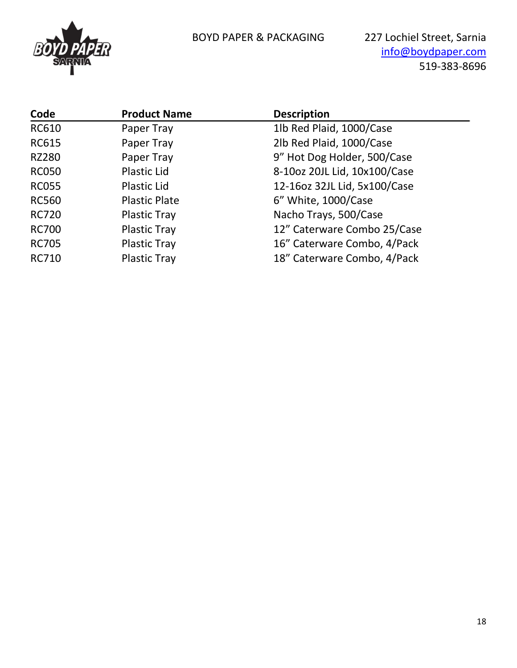

| Code         | <b>Product Name</b>  | <b>Description</b>           |
|--------------|----------------------|------------------------------|
| <b>RC610</b> | Paper Tray           | 1lb Red Plaid, 1000/Case     |
| <b>RC615</b> | Paper Tray           | 2lb Red Plaid, 1000/Case     |
| <b>RZ280</b> | Paper Tray           | 9" Hot Dog Holder, 500/Case  |
| <b>RC050</b> | Plastic Lid          | 8-10oz 20JL Lid, 10x100/Case |
| <b>RC055</b> | <b>Plastic Lid</b>   | 12-16oz 32JL Lid, 5x100/Case |
| <b>RC560</b> | <b>Plastic Plate</b> | 6" White, 1000/Case          |
| <b>RC720</b> | <b>Plastic Tray</b>  | Nacho Trays, 500/Case        |
| <b>RC700</b> | <b>Plastic Tray</b>  | 12" Caterware Combo 25/Case  |
| <b>RC705</b> | <b>Plastic Tray</b>  | 16" Caterware Combo, 4/Pack  |
| <b>RC710</b> | <b>Plastic Tray</b>  | 18" Caterware Combo, 4/Pack  |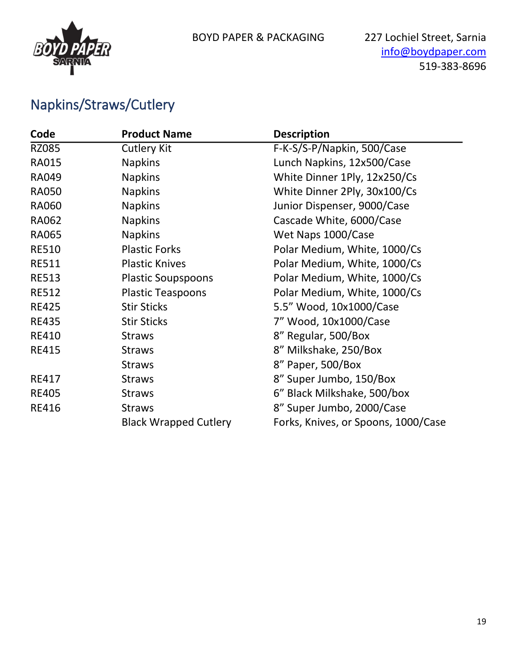

## Napkins/Straws/Cutlery

| Code         | <b>Product Name</b>          | <b>Description</b>                  |
|--------------|------------------------------|-------------------------------------|
| <b>RZ085</b> | <b>Cutlery Kit</b>           | F-K-S/S-P/Napkin, 500/Case          |
| <b>RA015</b> | <b>Napkins</b>               | Lunch Napkins, 12x500/Case          |
| <b>RA049</b> | <b>Napkins</b>               | White Dinner 1Ply, 12x250/Cs        |
| <b>RA050</b> | <b>Napkins</b>               | White Dinner 2Ply, 30x100/Cs        |
| <b>RA060</b> | <b>Napkins</b>               | Junior Dispenser, 9000/Case         |
| <b>RA062</b> | <b>Napkins</b>               | Cascade White, 6000/Case            |
| <b>RA065</b> | <b>Napkins</b>               | Wet Naps 1000/Case                  |
| <b>RE510</b> | <b>Plastic Forks</b>         | Polar Medium, White, 1000/Cs        |
| <b>RE511</b> | <b>Plastic Knives</b>        | Polar Medium, White, 1000/Cs        |
| <b>RE513</b> | <b>Plastic Soupspoons</b>    | Polar Medium, White, 1000/Cs        |
| <b>RE512</b> | <b>Plastic Teaspoons</b>     | Polar Medium, White, 1000/Cs        |
| <b>RE425</b> | <b>Stir Sticks</b>           | 5.5" Wood, 10x1000/Case             |
| <b>RE435</b> | <b>Stir Sticks</b>           | 7" Wood, 10x1000/Case               |
| <b>RE410</b> | <b>Straws</b>                | 8" Regular, 500/Box                 |
| <b>RE415</b> | <b>Straws</b>                | 8" Milkshake, 250/Box               |
|              | <b>Straws</b>                | 8" Paper, 500/Box                   |
| <b>RE417</b> | <b>Straws</b>                | 8" Super Jumbo, 150/Box             |
| <b>RE405</b> | <b>Straws</b>                | 6" Black Milkshake, 500/box         |
| <b>RE416</b> | <b>Straws</b>                | 8" Super Jumbo, 2000/Case           |
|              | <b>Black Wrapped Cutlery</b> | Forks, Knives, or Spoons, 1000/Case |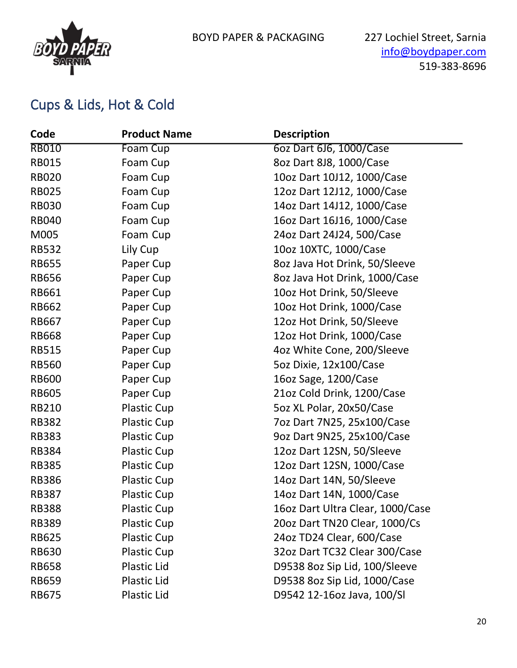

#### Cups & Lids, Hot & Cold

| Code         | <b>Product Name</b> | <b>Description</b>               |
|--------------|---------------------|----------------------------------|
| <b>RB010</b> | Foam Cup            | 6oz Dart 6J6, 1000/Case          |
| <b>RB015</b> | Foam Cup            | 8oz Dart 8J8, 1000/Case          |
| <b>RB020</b> | Foam Cup            | 10oz Dart 10J12, 1000/Case       |
| <b>RB025</b> | Foam Cup            | 12oz Dart 12J12, 1000/Case       |
| <b>RB030</b> | Foam Cup            | 14oz Dart 14J12, 1000/Case       |
| <b>RB040</b> | Foam Cup            | 16oz Dart 16J16, 1000/Case       |
| M005         | Foam Cup            | 24oz Dart 24J24, 500/Case        |
| <b>RB532</b> | Lily Cup            | 10oz 10XTC, 1000/Case            |
| <b>RB655</b> | Paper Cup           | 8oz Java Hot Drink, 50/Sleeve    |
| <b>RB656</b> | Paper Cup           | 8oz Java Hot Drink, 1000/Case    |
| <b>RB661</b> | Paper Cup           | 10oz Hot Drink, 50/Sleeve        |
| <b>RB662</b> | Paper Cup           | 10oz Hot Drink, 1000/Case        |
| <b>RB667</b> | Paper Cup           | 12oz Hot Drink, 50/Sleeve        |
| <b>RB668</b> | Paper Cup           | 12oz Hot Drink, 1000/Case        |
| <b>RB515</b> | Paper Cup           | 4oz White Cone, 200/Sleeve       |
| <b>RB560</b> | Paper Cup           | 5oz Dixie, 12x100/Case           |
| <b>RB600</b> | Paper Cup           | 16oz Sage, 1200/Case             |
| <b>RB605</b> | Paper Cup           | 21oz Cold Drink, 1200/Case       |
| <b>RB210</b> | <b>Plastic Cup</b>  | 5oz XL Polar, 20x50/Case         |
| <b>RB382</b> | <b>Plastic Cup</b>  | 7oz Dart 7N25, 25x100/Case       |
| <b>RB383</b> | <b>Plastic Cup</b>  | 9oz Dart 9N25, 25x100/Case       |
| <b>RB384</b> | <b>Plastic Cup</b>  | 12oz Dart 12SN, 50/Sleeve        |
| <b>RB385</b> | <b>Plastic Cup</b>  | 12oz Dart 12SN, 1000/Case        |
| <b>RB386</b> | <b>Plastic Cup</b>  | 14oz Dart 14N, 50/Sleeve         |
| <b>RB387</b> | <b>Plastic Cup</b>  | 14oz Dart 14N, 1000/Case         |
| <b>RB388</b> | <b>Plastic Cup</b>  | 16oz Dart Ultra Clear, 1000/Case |
| <b>RB389</b> | <b>Plastic Cup</b>  | 20oz Dart TN20 Clear, 1000/Cs    |
| <b>RB625</b> | <b>Plastic Cup</b>  | 24oz TD24 Clear, 600/Case        |
| <b>RB630</b> | <b>Plastic Cup</b>  | 32oz Dart TC32 Clear 300/Case    |
| <b>RB658</b> | <b>Plastic Lid</b>  | D9538 8oz Sip Lid, 100/Sleeve    |
| <b>RB659</b> | <b>Plastic Lid</b>  | D9538 8oz Sip Lid, 1000/Case     |
| <b>RB675</b> | <b>Plastic Lid</b>  | D9542 12-16oz Java, 100/Sl       |
|              |                     |                                  |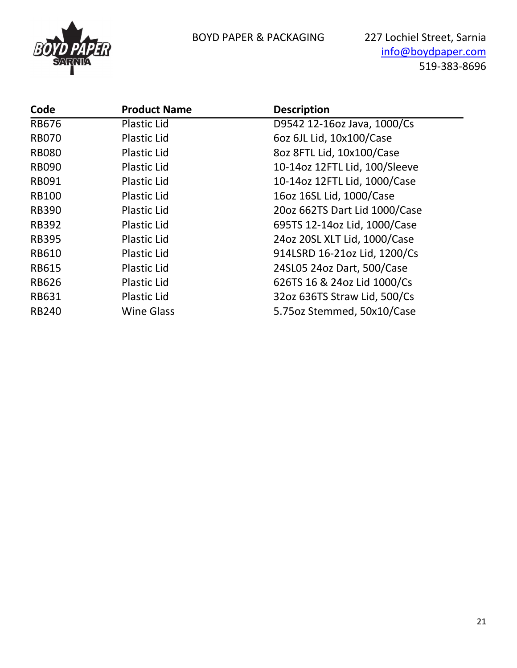

[info@boydpaper.com](mailto:info@boydpaper.com) 519-383-8696

| Code         | <b>Product Name</b> | <b>Description</b>            |
|--------------|---------------------|-------------------------------|
| <b>RB676</b> | <b>Plastic Lid</b>  | D9542 12-16oz Java, 1000/Cs   |
| <b>RB070</b> | <b>Plastic Lid</b>  | 6oz 6JL Lid, 10x100/Case      |
| <b>RB080</b> | <b>Plastic Lid</b>  | 8oz 8FTL Lid, 10x100/Case     |
| <b>RB090</b> | <b>Plastic Lid</b>  | 10-14oz 12FTL Lid, 100/Sleeve |
| <b>RB091</b> | <b>Plastic Lid</b>  | 10-14oz 12FTL Lid, 1000/Case  |
| <b>RB100</b> | <b>Plastic Lid</b>  | 16oz 16SL Lid, 1000/Case      |
| <b>RB390</b> | <b>Plastic Lid</b>  | 20oz 662TS Dart Lid 1000/Case |
| <b>RB392</b> | <b>Plastic Lid</b>  | 695TS 12-14oz Lid, 1000/Case  |
| <b>RB395</b> | <b>Plastic Lid</b>  | 24oz 20SL XLT Lid, 1000/Case  |
| <b>RB610</b> | <b>Plastic Lid</b>  | 914LSRD 16-21oz Lid, 1200/Cs  |
| <b>RB615</b> | <b>Plastic Lid</b>  | 24SL05 24oz Dart, 500/Case    |
| <b>RB626</b> | <b>Plastic Lid</b>  | 626TS 16 & 24oz Lid 1000/Cs   |
| <b>RB631</b> | <b>Plastic Lid</b>  | 32oz 636TS Straw Lid, 500/Cs  |
| <b>RB240</b> | <b>Wine Glass</b>   | 5.75oz Stemmed, 50x10/Case    |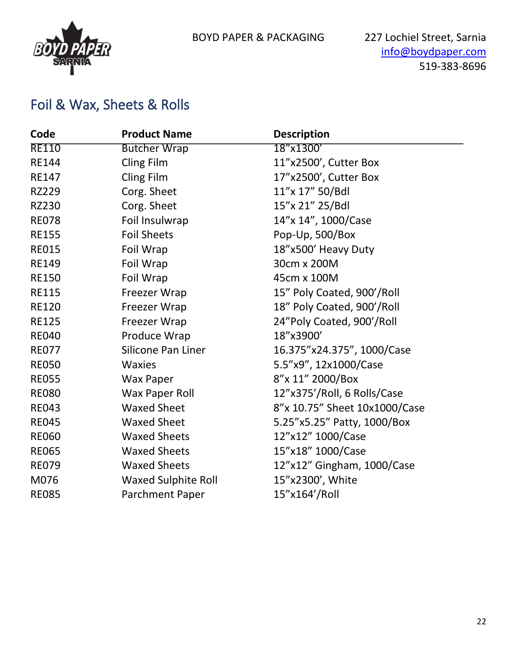

#### Foil & Wax, Sheets & Rolls

| Code         | <b>Product Name</b>        | <b>Description</b>            |
|--------------|----------------------------|-------------------------------|
| <b>RE110</b> | <b>Butcher Wrap</b>        | 18"x1300'                     |
| <b>RE144</b> | Cling Film                 | 11"x2500', Cutter Box         |
| <b>RE147</b> | Cling Film                 | 17"x2500', Cutter Box         |
| <b>RZ229</b> | Corg. Sheet                | 11"x 17" 50/Bdl               |
| <b>RZ230</b> | Corg. Sheet                | 15"x 21" 25/Bdl               |
| <b>RE078</b> | Foil Insulwrap             | 14"x 14", 1000/Case           |
| <b>RE155</b> | <b>Foil Sheets</b>         | Pop-Up, 500/Box               |
| <b>RE015</b> | Foil Wrap                  | 18"x500' Heavy Duty           |
| <b>RE149</b> | Foil Wrap                  | 30cm x 200M                   |
| <b>RE150</b> | Foil Wrap                  | 45cm x 100M                   |
| <b>RE115</b> | Freezer Wrap               | 15" Poly Coated, 900'/Roll    |
| <b>RE120</b> | Freezer Wrap               | 18" Poly Coated, 900'/Roll    |
| <b>RE125</b> | Freezer Wrap               | 24"Poly Coated, 900'/Roll     |
| <b>RE040</b> | Produce Wrap               | 18"x3900'                     |
| <b>RE077</b> | Silicone Pan Liner         | 16.375"x24.375", 1000/Case    |
| <b>RE050</b> | <b>Waxies</b>              | 5.5"x9", 12x1000/Case         |
| <b>RE055</b> | <b>Wax Paper</b>           | 8"x 11" 2000/Box              |
| <b>RE080</b> | Wax Paper Roll             | 12"x375'/Roll, 6 Rolls/Case   |
| <b>RE043</b> | <b>Waxed Sheet</b>         | 8"x 10.75" Sheet 10x1000/Case |
| <b>RE045</b> | <b>Waxed Sheet</b>         | 5.25"x5.25" Patty, 1000/Box   |
| <b>RE060</b> | <b>Waxed Sheets</b>        | 12"x12" 1000/Case             |
| <b>RE065</b> | <b>Waxed Sheets</b>        | 15"x18" 1000/Case             |
| <b>RE079</b> | <b>Waxed Sheets</b>        | 12"x12" Gingham, 1000/Case    |
| M076         | <b>Waxed Sulphite Roll</b> | 15"x2300', White              |
| <b>RE085</b> | Parchment Paper            | 15"x164'/Roll                 |
|              |                            |                               |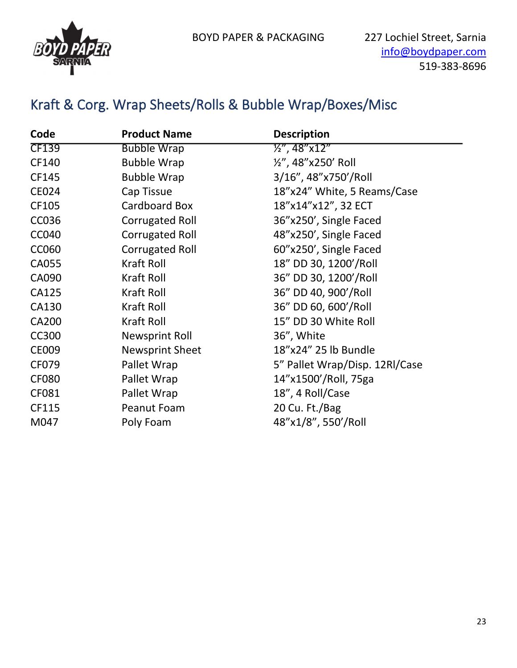

## Kraft & Corg. Wrap Sheets/Rolls & Bubble Wrap/Boxes/Misc

| Code         | <b>Product Name</b>    | <b>Description</b>             |
|--------------|------------------------|--------------------------------|
| <b>CF139</b> | <b>Bubble Wrap</b>     | ½", 48"x12"                    |
| CF140        | <b>Bubble Wrap</b>     | 1/2", 48"x250' Roll            |
| CF145        | <b>Bubble Wrap</b>     | 3/16", 48"x750'/Roll           |
| <b>CE024</b> | Cap Tissue             | 18"x24" White, 5 Reams/Case    |
| CF105        | Cardboard Box          | 18"x14"x12", 32 ECT            |
| <b>CC036</b> | <b>Corrugated Roll</b> | 36"x250', Single Faced         |
| <b>CC040</b> | <b>Corrugated Roll</b> | 48"x250', Single Faced         |
| <b>CC060</b> | <b>Corrugated Roll</b> | 60"x250', Single Faced         |
| CA055        | Kraft Roll             | 18" DD 30, 1200'/Roll          |
| CA090        | Kraft Roll             | 36" DD 30, 1200'/Roll          |
| CA125        | Kraft Roll             | 36" DD 40, 900'/Roll           |
| CA130        | <b>Kraft Roll</b>      | 36" DD 60, 600'/Roll           |
| <b>CA200</b> | <b>Kraft Roll</b>      | 15" DD 30 White Roll           |
| <b>CC300</b> | <b>Newsprint Roll</b>  | 36", White                     |
| <b>CE009</b> | <b>Newsprint Sheet</b> | 18"x24" 25 lb Bundle           |
| CF079        | Pallet Wrap            | 5" Pallet Wrap/Disp. 12RI/Case |
| <b>CF080</b> | Pallet Wrap            | 14"x1500'/Roll, 75ga           |
| CF081        | Pallet Wrap            | 18", 4 Roll/Case               |
| CF115        | Peanut Foam            | 20 Cu. Ft./Bag                 |
| M047         | Poly Foam              | 48"x1/8", 550'/Roll            |